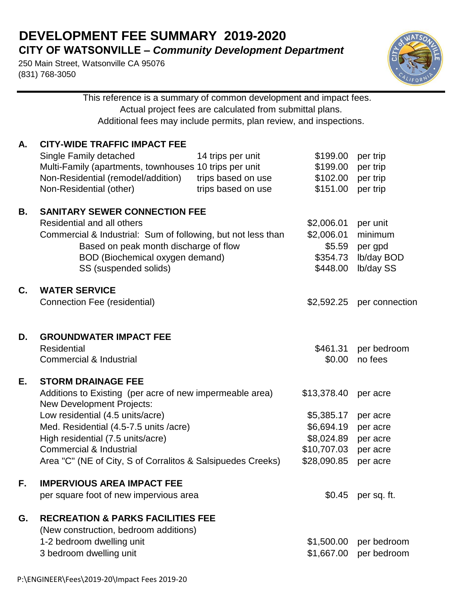## **DEVELOPMENT FEE SUMMARY 2019-2020 CITY OF WATSONVILLE –** *Community Development Department*

This reference is a summary of common development and impact fees.

250 Main Street, Watsonville CA 95076 (831) 768-3050



|    |                                                                                                                                                                                                                                                                                                                                                   | Actual project fees are calculated from submittal plans.<br>Additional fees may include permits, plan review, and inspections. |                                                                                     |                                                                      |  |  |
|----|---------------------------------------------------------------------------------------------------------------------------------------------------------------------------------------------------------------------------------------------------------------------------------------------------------------------------------------------------|--------------------------------------------------------------------------------------------------------------------------------|-------------------------------------------------------------------------------------|----------------------------------------------------------------------|--|--|
| А. | <b>CITY-WIDE TRAFFIC IMPACT FEE</b><br>Single Family detached<br>Multi-Family (apartments, townhouses 10 trips per unit<br>Non-Residential (remodel/addition)<br>Non-Residential (other)                                                                                                                                                          | 14 trips per unit<br>trips based on use<br>trips based on use                                                                  | \$199.00<br>\$199.00<br>\$102.00<br>\$151.00                                        | per trip<br>per trip<br>per trip<br>per trip                         |  |  |
| В. | <b>SANITARY SEWER CONNECTION FEE</b><br>Residential and all others<br>Commercial & Industrial: Sum of following, but not less than<br>Based on peak month discharge of flow<br>BOD (Biochemical oxygen demand)<br>SS (suspended solids)                                                                                                           |                                                                                                                                | \$2,006.01<br>\$2,006.01<br>\$5.59<br>\$354.73<br>\$448.00                          | per unit<br>minimum<br>per gpd<br>lb/day BOD<br>Ib/day SS            |  |  |
| C. | <b>WATER SERVICE</b><br>Connection Fee (residential)                                                                                                                                                                                                                                                                                              |                                                                                                                                | \$2,592.25                                                                          | per connection                                                       |  |  |
| D. | <b>GROUNDWATER IMPACT FEE</b><br><b>Residential</b><br><b>Commercial &amp; Industrial</b>                                                                                                                                                                                                                                                         |                                                                                                                                | \$461.31<br>\$0.00                                                                  | per bedroom<br>no fees                                               |  |  |
| Е. | <b>STORM DRAINAGE FEE</b><br>Additions to Existing (per acre of new impermeable area)<br><b>New Development Projects:</b><br>Low residential (4.5 units/acre)<br>Med. Residential (4.5-7.5 units /acre)<br>High residential (7.5 units/acre)<br><b>Commercial &amp; Industrial</b><br>Area "C" (NE of City, S of Corralitos & Salsipuedes Creeks) |                                                                                                                                | \$13,378.40<br>\$5,385.17<br>\$6,694.19<br>\$8,024.89<br>\$10,707.03<br>\$28,090.85 | per acre<br>per acre<br>per acre<br>per acre<br>per acre<br>per acre |  |  |
| F. | <b>IMPERVIOUS AREA IMPACT FEE</b><br>per square foot of new impervious area                                                                                                                                                                                                                                                                       |                                                                                                                                | \$0.45                                                                              | per sq. ft.                                                          |  |  |
| G. | <b>RECREATION &amp; PARKS FACILITIES FEE</b><br>(New construction, bedroom additions)<br>1-2 bedroom dwelling unit<br>3 bedroom dwelling unit                                                                                                                                                                                                     |                                                                                                                                | \$1,500.00<br>\$1,667.00                                                            | per bedroom<br>per bedroom                                           |  |  |
|    |                                                                                                                                                                                                                                                                                                                                                   |                                                                                                                                |                                                                                     |                                                                      |  |  |

P:\ENGINEER\Fees\2019-20\Impact Fees 2019-20